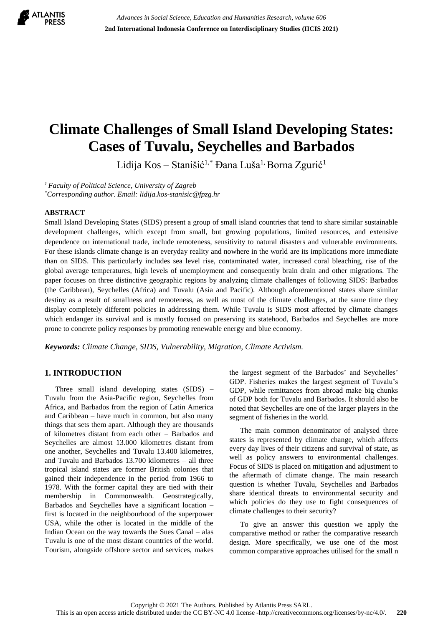

# **Climate Challenges of Small Island Developing States: Cases of Tuvalu, Seychelles and Barbados**

Lidija Kos – Stanišić<sup>1,\*</sup> Đana Luša<sup>1,</sup> Borna Zgurić<sup>1</sup>

*<sup>1</sup>Faculty of Political Science, University of Zagreb \*Corresponding author. Email: lidija.kos-stanisic@fpzg.hr*

#### **ABSTRACT**

Small Island Developing States (SIDS) present a group of small island countries that tend to share similar sustainable development challenges, which except from small, but growing populations, limited resources, and extensive dependence on international trade, include remoteness, sensitivity to natural disasters and vulnerable environments. For these islands climate change is an everyday reality and nowhere in the world are its implications more immediate than on SIDS. This particularly includes sea level rise, contaminated water, increased coral bleaching, rise of the global average temperatures, high levels of unemployment and consequently brain drain and other migrations. The paper focuses on three distinctive geographic regions by analyzing climate challenges of following SIDS: Barbados (the Caribbean), Seychelles (Africa) and Tuvalu (Asia and Pacific). Although aforementioned states share similar destiny as a result of smallness and remoteness, as well as most of the climate challenges, at the same time they display completely different policies in addressing them. While Tuvalu is SIDS most affected by climate changes which endanger its survival and is mostly focused on preserving its statehood, Barbados and Seychelles are more prone to concrete policy responses by promoting renewable energy and blue economy.

*Keywords: Climate Change, SIDS, Vulnerability, Migration, Climate Activism.*

### **1. INTRODUCTION**

Three small island developing states (SIDS) – Tuvalu from the Asia-Pacific region, Seychelles from Africa, and Barbados from the region of Latin America and Caribbean – have much in common, but also many things that sets them apart. Although they are thousands of kilometres distant from each other – Barbados and Seychelles are almost 13.000 kilometres distant from one another, Seychelles and Tuvalu 13.400 kilometres, and Tuvalu and Barbados 13.700 kilometres – all three tropical island states are former British colonies that gained their independence in the period from 1966 to 1978. With the former capital they are tied with their membership in Commonwealth. Geostrategically, Barbados and Seychelles have a significant location – first is located in the neighbourhood of the superpower USA, while the other is located in the middle of the Indian Ocean on the way towards the Sues Canal – alas Tuvalu is one of the most distant countries of the world. Tourism, alongside offshore sector and services, makes the largest segment of the Barbados' and Seychelles' GDP. Fisheries makes the largest segment of Tuvalu's GDP, while remittances from abroad make big chunks of GDP both for Tuvalu and Barbados. It should also be noted that Seychelles are one of the larger players in the segment of fisheries in the world.

The main common denominator of analysed three states is represented by climate change, which affects every day lives of their citizens and survival of state, as well as policy answers to environmental challenges. Focus of SIDS is placed on mitigation and adjustment to the aftermath of climate change. The main research question is whether Tuvalu, Seychelles and Barbados share identical threats to environmental security and which policies do they use to fight consequences of climate challenges to their security?

To give an answer this question we apply the comparative method or rather the comparative research design. More specifically, we use one of the most common comparative approaches utilised for the small n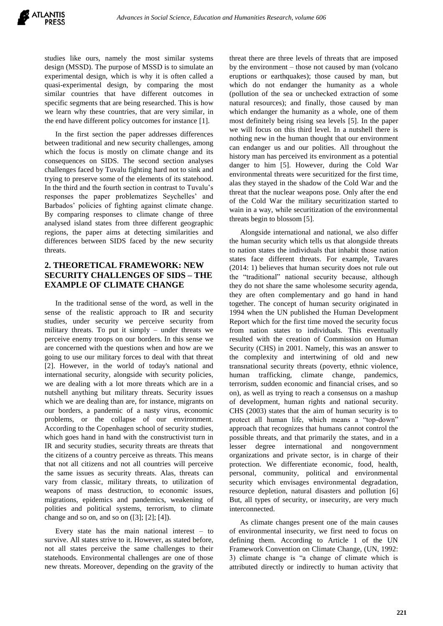studies like ours, namely the most similar systems design (MSSD). The purpose of MSSD is to simulate an experimental design, which is why it is often called a quasi-experimental design, by comparing the most similar countries that have different outcomes in specific segments that are being researched. This is how we learn why these countries, that are very similar, in the end have different policy outcomes for instance [1].

In the first section the paper addresses differences between traditional and new security challenges, among which the focus is mostly on climate change and its consequences on SIDS. The second section analyses challenges faced by Tuvalu fighting hard not to sink and trying to preserve some of the elements of its statehood. In the third and the fourth section in contrast to Tuvalu's responses the paper problematizes Seychelles' and Barbados' policies of fighting against climate change. By comparing responses to climate change of three analysed island states from three different geographic regions, the paper aims at detecting similarities and differences between SIDS faced by the new security threats.

## **2. THEORETICAL FRAMEWORK: NEW SECURITY CHALLENGES OF SIDS – THE EXAMPLE OF CLIMATE CHANGE**

In the traditional sense of the word, as well in the sense of the realistic approach to IR and security studies, under security we perceive security from military threats. To put it simply – under threats we perceive enemy troops on our borders. In this sense we are concerned with the questions when and how are we going to use our military forces to deal with that threat [2]. However, in the world of today's national and international security, alongside with security policies, we are dealing with a lot more threats which are in a nutshell anything but military threats. Security issues which we are dealing than are, for instance, migrants on our borders, a pandemic of a nasty virus, economic problems, or the collapse of our environment. According to the Copenhagen school of security studies, which goes hand in hand with the constructivist turn in IR and security studies, security threats are threats that the citizens of a country perceive as threats. This means that not all citizens and not all countries will perceive the same issues as security threats. Alas, threats can vary from classic, military threats, to utilization of weapons of mass destruction, to economic issues, migrations, epidemics and pandemics, weakening of polities and political systems, terrorism, to climate change and so on, and so on  $([3]; [2]; [4])$ .

Every state has the main national interest – to survive. All states strive to it. However, as stated before, not all states perceive the same challenges to their statehoods. Environmental challenges are one of those new threats. Moreover, depending on the gravity of the threat there are three levels of threats that are imposed by the environment – those not caused by man (volcano eruptions or earthquakes); those caused by man, but which do not endanger the humanity as a whole (pollution of the sea or unchecked extraction of some natural resources); and finally, those caused by man which endanger the humanity as a whole, one of them most definitely being rising sea levels [5]. In the paper we will focus on this third level. In a nutshell there is nothing new in the human thought that our environment can endanger us and our polities. All throughout the history man has perceived its environment as a potential danger to him [5]. However, during the Cold War environmental threats were securitized for the first time, alas they stayed in the shadow of the Cold War and the threat that the nuclear weapons pose. Only after the end of the Cold War the military securitization started to wain in a way, while securitization of the environmental threats begin to blossom [5].

Alongside international and national, we also differ the human security which tells us that alongside threats to nation states the individuals that inhabit those nation states face different threats. For example, Tavares (2014: 1) believes that human security does not rule out the "traditional" national security because, although they do not share the same wholesome security agenda, they are often complementary and go hand in hand together. The concept of human security originated in 1994 when the UN published the Human Development Report which for the first time moved the security focus from nation states to individuals. This eventually resulted with the creation of Commission on Human Security (CHS) in 2001. Namely, this was an answer to the complexity and intertwining of old and new transnational security threats (poverty, ethnic violence, human trafficking, climate change, pandemics, terrorism, sudden economic and financial crises, and so on), as well as trying to reach a consensus on a mashup of development, human rights and national security. CHS (2003) states that the aim of human security is to protect all human life, which means a "top-down" approach that recognizes that humans cannot control the possible threats, and that primarily the states, and in a lesser degree international and nongovernment organizations and private sector, is in charge of their protection. We differentiate economic, food, health, personal, community, political and environmental security which envisages environmental degradation, resource depletion, natural disasters and pollution [6] But, all types of security, or insecurity, are very much interconnected.

As climate changes present one of the main causes of environmental insecurity, we first need to focus on defining them. According to Article 1 of the UN Framework Convention on Climate Change, (UN, 1992: 3) climate change is "a change of climate which is attributed directly or indirectly to human activity that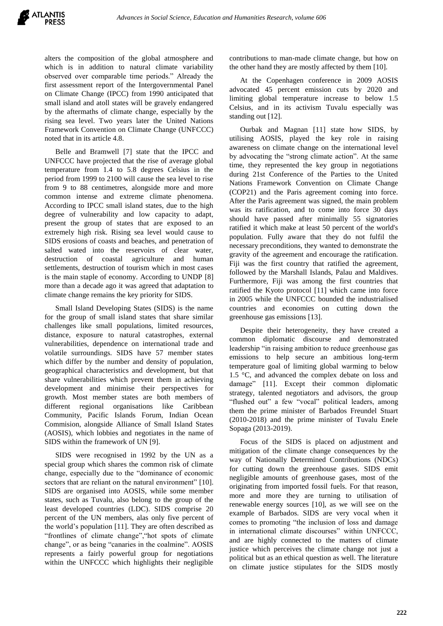alters the composition of the global atmosphere and which is in addition to natural climate variability observed over comparable time periods." Already the first assessment report of the Intergovernmental Panel on Climate Change (IPCC) from 1990 anticipated that small island and atoll states will be gravely endangered by the aftermaths of climate change, especially by the rising sea level. Two years later the United Nations Framework Convention on Climate Change (UNFCCC) noted that in its article 4.8.

Belle and Bramwell [7] state that the IPCC and UNFCCC have projected that the rise of average global temperature from 1.4 to 5.8 degrees Celsius in the period from 1999 to 2100 will cause the sea level to rise from 9 to 88 centimetres, alongside more and more common intense and extreme climate phenomena. According to IPCC small island states, due to the high degree of vulnerability and low capacity to adapt, present the group of states that are exposed to an extremely high risk. Rising sea level would cause to SIDS erosions of coasts and beaches, and penetration of salted wated into the reservoirs of clear water, destruction of coastal agriculture and human settlements, destruction of tourism which in most cases is the main staple of economy. According to UNDP [8] more than a decade ago it was agreed that adaptation to climate change remains the key priority for SIDS.

Small Island Developing States (SIDS) is the name for the group of small island states that share similar challenges like small populations, limited resources, distance, exposure to natural catastrophes, external vulnerabilities, dependence on international trade and volatile surroundings. SIDS have 57 member states which differ by the number and density of population, geographical characteristics and development, but that share vulnerabilities which prevent them in achieving development and minimise their perspectives for growth. Most member states are both members of different regional organisations like Caribbean Community, Pacific Islands Forum, Indian Ocean Commision, alongside Alliance of Small Island States (AOSIS), which lobbies and negotiates in the name of SIDS within the framework of UN [9].

SIDS were recognised in 1992 by the UN as a special group which shares the common risk of climate change, especially due to the "dominance of economic sectors that are reliant on the natural environment" [10]. SIDS are organised into AOSIS, while some member states, such as Tuvalu, also belong to the group of the least developed countries (LDC). SIDS comprise 20 percent of the UN members, alas only five percent of the world's population [11]. They are often described as "frontlines of climate change","hot spots of climate change", or as being "canaries in the coalmine". AOSIS represents a fairly powerful group for negotiations within the UNFCCC which highlights their negligible contributions to man-made climate change, but how on the other hand they are mostly affected by them [10].

At the Copenhagen conference in 2009 AOSIS advocated 45 percent emission cuts by 2020 and limiting global temperature increase to below 1.5 Celsius, and in its activism Tuvalu especially was standing out [12].

Ourbak and Magnan [11] state how SIDS, by utilising AOSIS, played the key role in raising awareness on climate change on the international level by advocating the "strong climate action". At the same time, they represented the key group in negotiations during 21st Conference of the Parties to the United Nations Framework Convention on Climate Change (COP21) and the Paris agreement coming into force. After the Paris agreement was signed, the main problem was its ratification, and to come into force 30 days should have passed after minimally 55 signatories ratified it which make at least 50 percent of the world's population. Fully aware that they do not fulfil the necessary preconditions, they wanted to demonstrate the gravity of the agreement and encourage the ratification. Fiji was the first country that ratified the agreement, followed by the Marshall Islands, Palau and Maldives. Furthermore, Fiji was among the first countries that ratified the Kyoto protocol [11] which came into force in 2005 while the UNFCCC bounded the industrialised countries and economies on cutting down the greenhouse gas emissions [13].

Despite their heterogeneity, they have created a common diplomatic discourse and demonstrated leadership "in raising ambition to reduce greenhouse gas emissions to help secure an ambitious long-term temperature goal of limiting global warming to below 1.5 °C, and advanced the complex debate on loss and damage" [11]. Except their common diplomatic strategy, talented negotiators and advisors, the group "flushed out" a few "vocal" political leaders, among them the prime minister of Barbados Freundel Stuart (2010-2018) and the prime minister of Tuvalu Enele Sopaga (2013-2019).

Focus of the SIDS is placed on adjustment and mitigation of the climate change consequences by the way of Nationally Determined Contributions (NDCs) for cutting down the greenhouse gases. SIDS emit negligible amounts of greenhouse gases, most of the originating from imported fossil fuels. For that reason, more and more they are turning to utilisation of renewable energy sources [10], as we will see on the example of Barbados. SIDS are very vocal when it comes to promoting "the inclusion of loss and damage in international climate discourses" within UNFCCC, and are highly connected to the matters of climate justice which perceives the climate change not just a political but as an ethical question as well. The literature on climate justice stipulates for the SIDS mostly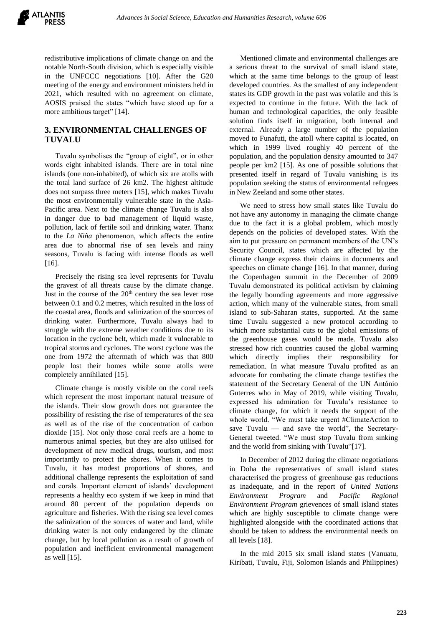redistributive implications of climate change on and the notable North-South division, which is especially visible in the UNFCCC negotiations [10]. After the G20 meeting of the energy and environment ministers held in 2021, which resulted with no agreement on climate, AOSIS praised the states "which have stood up for a more ambitious target" [14].

### **3. ENVIRONMENTAL CHALLENGES OF TUVALU**

Tuvalu symbolises the "group of eight", or in other words eight inhabited islands. There are in total nine islands (one non-inhabited), of which six are atolls with the total land surface of 26 km2. The highest altitude does not surpass three meters [15], which makes Tuvalu the most environmentally vulnerable state in the Asia-Pacific area. Next to the climate change Tuvalu is also in danger due to bad management of liquid waste, pollution, lack of fertile soil and drinking water. Thanx to the *La Niña* phenomenon, which affects the entire area due to abnormal rise of sea levels and rainy seasons, Tuvalu is facing with intense floods as well [16].

Precisely the rising sea level represents for Tuvalu the gravest of all threats cause by the climate change. Just in the course of the  $20<sup>th</sup>$  century the sea lever rose between 0.1 and 0.2 metres, which resulted in the loss of the coastal area, floods and salinization of the sources of drinking water. Furthermore, Tuvalu always had to struggle with the extreme weather conditions due to its location in the cyclone belt, which made it vulnerable to tropical storms and cyclones. The worst cyclone was the one from 1972 the aftermath of which was that 800 people lost their homes while some atolls were completely annihilated [15].

Climate change is mostly visible on the coral reefs which represent the most important natural treasure of the islands. Their slow growth does not guarantee the possibility of resisting the rise of temperatures of the sea as well as of the rise of the concentration of carbon dioxide [15]. Not only those coral reefs are a home to numerous animal species, but they are also utilised for development of new medical drugs, tourism, and most importantly to protect the shores. When it comes to Tuvalu, it has modest proportions of shores, and additional challenge represents the exploitation of sand and corals. Important element of islands' development represents a healthy eco system if we keep in mind that around 80 percent of the population depends on agriculture and fisheries. With the rising sea level comes the salinization of the sources of water and land, while drinking water is not only endangered by the climate change, but by local pollution as a result of growth of population and inefficient environmental management as well [15].

Mentioned climate and environmental challenges are a serious threat to the survival of small island state, which at the same time belongs to the group of least developed countries. As the smallest of any independent states its GDP growth in the past was volatile and this is expected to continue in the future. With the lack of human and technological capacities, the only feasible solution finds itself in migration, both internal and external. Already a large number of the population moved to Funafuti, the atoll where capital is located, on which in 1999 lived roughly 40 percent of the population, and the population density amounted to 347 people per km2 [15]. As one of possible solutions that presented itself in regard of Tuvalu vanishing is its population seeking the status of environmental refugees in New Zeeland and some other states.

We need to stress how small states like Tuvalu do not have any autonomy in managing the climate change due to the fact it is a global problem, which mostly depends on the policies of developed states. With the aim to put pressure on permanent members of the UN's Security Council, states which are affected by the climate change express their claims in documents and speeches on climate change [16]. In that manner, during the Copenhagen summit in the December of 2009 Tuvalu demonstrated its political activism by claiming the legally bounding agreements and more aggressive action, which many of the vulnerable states, from small island to sub-Saharan states, supported. At the same time Tuvalu suggested a new protocol according to which more substantial cuts to the global emissions of the greenhouse gases would be made. Tuvalu also stressed how rich countries caused the global warming which directly implies their responsibility for remediation. In what measure Tuvalu profited as an advocate for combating the climate change testifies the statement of the Secretary General of the UN António Guterres who in May of 2019, while visiting Tuvalu, expressed his admiration for Tuvalu's resistance to climate change, for which it needs the support of the whole world. "We must take urgent #ClimateAction to save Tuvalu — and save the world", the Secretary-General tweeted. "We must stop Tuvalu from sinking and the world from sinking with Tuvalu"[17].

In December of 2012 during the climate negotiations in Doha the representatives of small island states characterised the progress of greenhouse gas reductions as inadequate, and in the report of *United Nations Environment Program* and *Pacific Regional Environment Program* grievences of small island states which are highly susceptible to climate change were highlighted alongside with the coordinated actions that should be taken to address the environmental needs on all levels [18].

In the mid 2015 six small island states (Vanuatu, Kiribati, Tuvalu, Fiji, Solomon Islands and Philippines)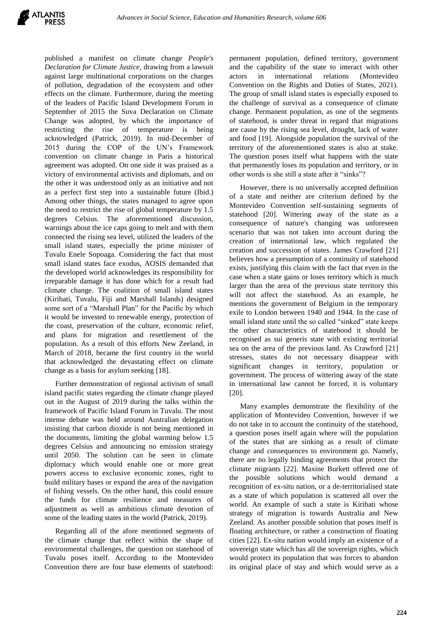published a manifest on climate change *People's Declaration for Climate Justice,* drawing from a lawsuit against large multinational corporations on the charges of pollution, degradation of the ecosystem and other effects on the climate. Furthermore, during the meeting of the leaders of Pacific Island Development Forum in September of 2015 the Suva Declaration on Climate Change was adopted, by which the importance of restricting the rise of temperature is being acknowledged (Patrick, 2019). In mid-December of 2015 during the COP of the UN's Framework convention on climate change in Paris a historical agreement was adopted. On one side it was praised as a victory of environmental activists and diplomats, and on the other it was understood only as an initiative and not as a perfect first step into a sustainable future (Ibid.) Among other things, the states managed to agree upon the need to restrict the rise of global temperature by 1.5 degrees Celsius. The aforementioned discussion, warnings about the ice caps going to melt and with them connected the rising sea level, utilized the leaders of the small island states, especially the prime minister of Tuvalu Enele Sopoaga. Considering the fact that most small island states face exodus, AOSIS demanded that the developed world acknowledges its responsibility for irreparable damage it has done which for a result had climate change. The coalition of small island states (Kiribati, Tuvalu, Fiji and Marshall Islands) designed some sort of a "Marshall Plan" for the Pacific by which it would be invested to renewable energy, protection of the coast, preservation of the culture, economic relief, and plans for migration and resettlement of the population. As a result of this efforts New Zeeland, in March of 2018, became the first country in the world that acknowledged the devastating effect on climate change as a basis for asylum seeking [18].

Further demonstration of regional activism of small island pacific states regarding the climate change played out in the August of 2019 during the talks within the framework of Pacific Island Forum in Tuvalu. The most intense debate was held around Australian delegation insisting that carbon dioxide is not being mentioned in the documents, limiting the global warming below 1.5 degrees Celsius and announcing no emission strategy until 2050. The solution can be seen in climate diplomacy which would enable one or more great powers access to exclusive economic zones, right to build military bases or expand the area of the navigation of fishing vessels. On the other hand, this could ensure the funds for climate resilience and measures of adjustment as well as ambitious climate devotion of some of the leading states in the world (Patrick, 2019).

Regarding all of the afore mentioned segments of the climate change that reflect within the shape of environmental challenges, the question on statehood of Tuvalu poses itself. According to the Montevideo Convention there are four base elements of statehood: permanent population, defined territory, government and the capability of the state to interact with other actors in international relations (Montevideo Convention on the Rights and Duties of States, 2021). The group of small island states is especially exposed to the challenge of survival as a consequence of climate change. Permanent population, as one of the segments of statehood, is under threat in regard that migrations are cause by the rising sea level, drought, lack of water and food [19]. Alongside population the survival of the territory of the aforementioned states is also at stake. The question poses itself what happens with the state that permanently loses its population and territory, or in other words is she still a state after it "sinks"?

However, there is no universally accepted definition of a state and neither are criterium defined by the Montevideo Convention self-sustaining segments of statehood [20]. Wittering away of the state as a consequence of nature's changing was unforeseen scenario that was not taken into account during the creation of international law, which regulated the creation and succession of states. James Crawford [21] believes how a presumption of a continuity of statehood exists, justifying this claim with the fact that even in the case when a state gains or loses territory which is much larger than the area of the previous state territory this will not affect the statehood. As an example, he mentions the government of Belgium in the temporary exile to London between 1940 and 1944. In the case of small island state until the so called "sinked" state keeps the other characteristics of statehood it should be recognised as sui generis state with existing territorial sea on the area of the previous land. As Crawford [21] stresses, states do not necessary disappear with significant changes in territory, population or government. The process of wittering away of the state in international law cannot be forced, it is voluntary [20].

Many examples demonstrate the flexibility of the application of Montevideo Convention, however if we do not take in to account the continuity of the statehood, a question poses itself again where will the population of the states that are sinking as a result of climate change and consequences to environment go. Namely, there are no legally binding agreements that protect the climate migrants [22]. Maxine Burkett offered one of the possible solutions which would demand a recognition of ex-situ nation, or a de-territorialised state as a state of which population is scattered all over the world. An example of such a state is Kiribati whose strategy of migration is towards Australia and New Zeeland. As another possible solution that poses itself is floating architecture, or rather a construction of floating cities [22]. Ex-situ nation would imply an existence of a sovereign state which has all the sovereign rights, which would protect its population that was forces to abandon its original place of stay and which would serve as a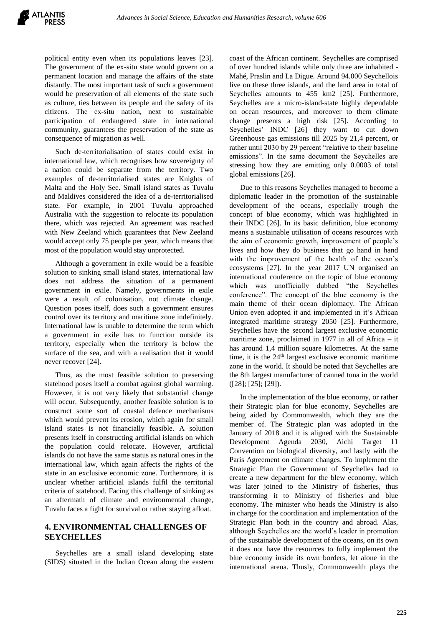political entity even when its populations leaves [23]. The government of the ex-situ state would govern on a permanent location and manage the affairs of the state distantly. The most important task of such a government would be preservation of all elements of the state such as culture, ties between its people and the safety of its citizens. The ex-situ nation, next to sustainable participation of endangered state in international community, guarantees the preservation of the state as consequence of migration as well.

Such de-territorialisation of states could exist in international law, which recognises how sovereignty of a nation could be separate from the territory. Two examples of de-territorialised states are Knights of Malta and the Holy See. Small island states as Tuvalu and Maldives considered the idea of a de-territorialised state. For example, in 2001 Tuvalu approached Australia with the suggestion to relocate its population there, which was rejected. An agreement was reached with New Zeeland which guarantees that New Zeeland would accept only 75 people per year, which means that most of the population would stay unprotected.

Although a government in exile would be a feasible solution to sinking small island states, international law does not address the situation of a permanent government in exile. Namely, governments in exile were a result of colonisation, not climate change. Question poses itself, does such a government ensures control over its territory and maritime zone indefinitely. International law is unable to determine the term which a government in exile has to function outside its territory, especially when the territory is below the surface of the sea, and with a realisation that it would never recover [24].

Thus, as the most feasible solution to preserving statehood poses itself a combat against global warming. However, it is not very likely that substantial change will occur. Subsequently, another feasible solution is to construct some sort of coastal defence mechanisms which would prevent its erosion, which again for small island states is not financially feasible. A solution presents itself in constructing artificial islands on which the population could relocate. However, artificial islands do not have the same status as natural ones in the international law, which again affects the rights of the state in an exclusive economic zone. Furthermore, it is unclear whether artificial islands fulfil the territorial criteria of statehood. Facing this challenge of sinking as an aftermath of climate and environmental change, Tuvalu faces a fight for survival or rather staying afloat.

#### **4. ENVIRONMENTAL CHALLENGES OF SEYCHELLES**

Seychelles are a small island developing state (SIDS) situated in the Indian Ocean along the eastern coast of the African continent. Seychelles are comprised of over hundred islands while only three are inhabited - Mahé, Praslin and La Digue. Around 94.000 Seychellois live on these three islands, and the land area in total of Seychelles amounts to 455 km2 [25]. Furthermore, Seychelles are a micro-island-state highly dependable on ocean resources, and moreover to them climate change presents a high risk [25]. According to Seychelles' INDC [26] they want to cut down Greenhouse gas emissions till 2025 by 21,4 percent, or rather until 2030 by 29 percent "relative to their baseline emissions". In the same document the Seychelles are stressing how they are emitting only 0.0003 of total global emissions [26].

Due to this reasons Seychelles managed to become a diplomatic leader in the promotion of the sustainable development of the oceans, especially trough the concept of blue economy, which was highlighted in their INDC [26]. In its basic definition, blue economy means a sustainable utilisation of oceans resources with the aim of economic growth, improvement of people's lives and how they do business that go hand in hand with the improvement of the health of the ocean's ecosystems [27]. In the year 2017 UN organised an international conference on the topic of blue economy which was unofficially dubbed "the Seychelles conference". The concept of the blue economy is the main theme of their ocean diplomacy. The African Union even adopted it and implemented in it's African integrated maritime strategy 2050 [25]. Furthermore, Seychelles have the second largest exclusive economic maritime zone, proclaimed in 1977 in all of Africa – it has around 1,4 million square kilometres. At the same time, it is the 24<sup>th</sup> largest exclusive economic maritime zone in the world. It should be noted that Seychelles are the 8th largest manufacturer of canned tuna in the world ([28]; [25]; [29]).

In the implementation of the blue economy, or rather their Strategic plan for blue economy, Seychelles are being aided by Commonwealth, which they are the member of. The Strategic plan was adopted in the January of 2018 and it is aligned with the Sustainable Development Agenda 2030, Aichi Target 11 Convention on biological diversity, and lastly with the Paris Agreement on climate changes. To implement the Strategic Plan the Government of Seychelles had to create a new department for the blew economy, which was later joined to the Ministry of fisheries, thus transforming it to Ministry of fisheries and blue economy. The minister who heads the Ministry is also in charge for the coordination and implementation of the Strategic Plan both in the country and abroad. Alas, although Seychelles are the world's leader in promotion of the sustainable development of the oceans, on its own it does not have the resources to fully implement the blue economy inside its own borders, let alone in the international arena. Thusly, Commonwealth plays the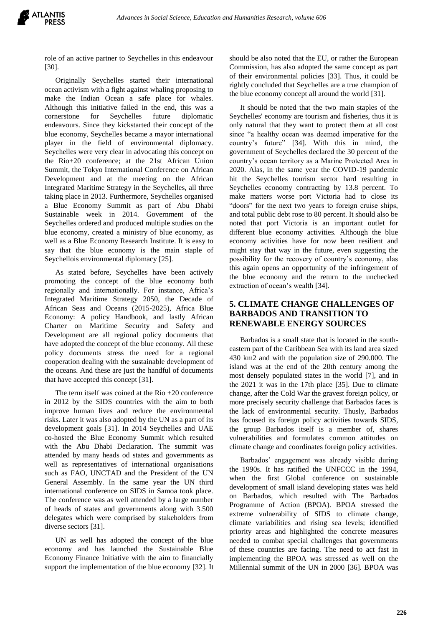role of an active partner to Seychelles in this endeavour [30].

Originally Seychelles started their international ocean activism with a fight against whaling proposing to make the Indian Ocean a safe place for whales. Although this initiative failed in the end, this was a cornerstone for Seychelles future diplomatic endeavours. Since they kickstarted their concept of the blue economy, Seychelles became a mayor international player in the field of environmental diplomacy. Seychelles were very clear in advocating this concept on the Rio+20 conference; at the 21st African Union Summit, the Tokyo International Conference on African Development and at the meeting on the African Integrated Maritime Strategy in the Seychelles, all three taking place in 2013. Furthermore, Seychelles organised a Blue Economy Summit as part of Abu Dhabi Sustainable week in 2014. Government of the Seychelles ordered and produced multiple studies on the blue economy, created a ministry of blue economy, as well as a Blue Economy Research Institute. It is easy to say that the blue economy is the main staple of Seychellois environmental diplomacy [25].

As stated before, Seychelles have been actively promoting the concept of the blue economy both regionally and internationally. For instance, Africa's Integrated Maritime Strategy 2050, the Decade of African Seas and Oceans (2015-2025), Africa Blue Economy: A policy Handbook, and lastly African Charter on Maritime Security and Safety and Development are all regional policy documents that have adopted the concept of the blue economy. All these policy documents stress the need for a regional cooperation dealing with the sustainable development of the oceans. And these are just the handful of documents that have accepted this concept [31].

The term itself was coined at the Rio +20 conference in 2012 by the SIDS countries with the aim to both improve human lives and reduce the environmental risks. Later it was also adopted by the UN as a part of its development goals [31]. In 2014 Seychelles and UAE co-hosted the Blue Economy Summit which resulted with the Abu Dhabi Declaration. The summit was attended by many heads od states and governments as well as representatives of international organisations such as FAO, UNCTAD and the President of the UN General Assembly. In the same year the UN third international conference on SIDS in Samoa took place. The conference was as well attended by a large number of heads of states and governments along with 3.500 delegates which were comprised by stakeholders from diverse sectors [31].

UN as well has adopted the concept of the blue economy and has launched the Sustainable Blue Economy Finance Initiative with the aim to financially support the implementation of the blue economy [32]. It should be also noted that the EU, or rather the European Commission, has also adopted the same concept as part of their environmental policies [33]. Thus, it could be rightly concluded that Seychelles are a true champion of the blue economy concept all around the world [31].

It should be noted that the two main staples of the Seychelles' economy are tourism and fisheries, thus it is only natural that they want to protect them at all cost since "a healthy ocean was deemed imperative for the country's future" [34]. With this in mind, the government of Seychelles declared the 30 percent of the country's ocean territory as a Marine Protected Area in 2020. Alas, in the same year the COVID-19 pandemic hit the Seychelles tourism sector hard resulting in Seychelles economy contracting by 13.8 percent. To make matters worse port Victoria had to close its "doors" for the next two years to foreign cruise ships, and total public debt rose to 80 percent. It should also be noted that port Victoria is an important outlet for different blue economy activities. Although the blue economy activities have for now been resilient and might stay that way in the future, even suggesting the possibility for the recovery of country's economy, alas this again opens an opportunity of the infringement of the blue economy and the return to the unchecked extraction of ocean's wealth [34].

## **5. CLIMATE CHANGE CHALLENGES OF BARBADOS AND TRANSITION TO RENEWABLE ENERGY SOURCES**

Barbados is a small state that is located in the southeastern part of the Caribbean Sea with its land area sized 430 km2 and with the population size of 290.000. The island was at the end of the 20th century among the most densely populated states in the world [7], and in the 2021 it was in the 17th place [35]. Due to climate change, after the Cold War the gravest foreign policy, or more precisely security challenge that Barbados faces is the lack of environmental security. Thusly, Barbados has focused its foreign policy activities towards SIDS, the group Barbados itself is a member of, shares vulnerabilities and formulates common attitudes on climate change and coordinates foreign policy activities.

Barbados' engagement was already visible during the 1990s. It has ratified the UNFCCC in the 1994, when the first Global conference on sustainable development of small island developing states was held on Barbados, which resulted with The Barbados Programme of Action (BPOA). BPOA stressed the extreme vulnerability of SIDS to climate change, climate variabilities and rising sea levels; identified priority areas and highlighted the concrete measures needed to combat special challenges that governments of these countries are facing. The need to act fast in implementing the BPOA was stressed as well on the Millennial summit of the UN in 2000 [36]. BPOA was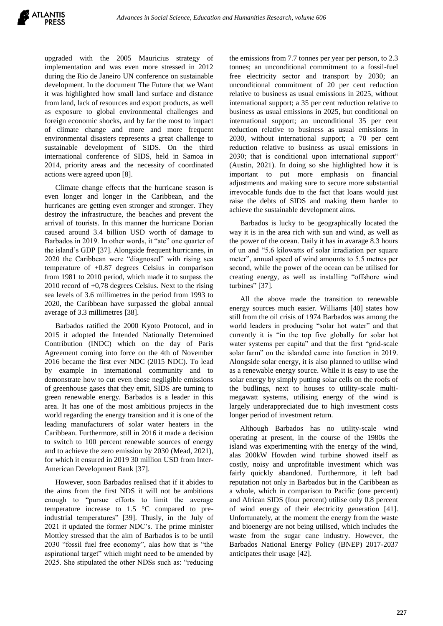upgraded with the 2005 Mauricius strategy of implementation and was even more stressed in 2012 during the Rio de Janeiro UN conference on sustainable development. In the document The Future that we Want it was highlighted how small land surface and distance from land, lack of resources and export products, as well as exposure to global environmental challenges and foreign economic shocks, and by far the most to impact of climate change and more and more frequent environmental disasters represents a great challenge to sustainable development of SIDS. On the third international conference of SIDS, held in Samoa in 2014, priority areas and the necessity of coordinated actions were agreed upon [8].

Climate change effects that the hurricane season is even longer and longer in the Caribbean, and the hurricanes are getting even stronger and stronger. They destroy the infrastructure, the beaches and prevent the arrival of tourists. In this manner the hurricane Dorian caused around 3.4 billion USD worth of damage to Barbados in 2019. In other words, it "ate" one quarter of the island's GDP [37]. Alongside frequent hurricanes, in 2020 the Caribbean were "diagnosed" with rising sea temperature of +0.87 degrees Celsius in comparison from 1981 to 2010 period, which made it to surpass the 2010 record of +0,78 degrees Celsius. Next to the rising sea levels of 3.6 millimetres in the period from 1993 to 2020, the Caribbean have surpassed the global annual average of 3.3 millimetres [38].

Barbados ratified the 2000 Kyoto Protocol, and in 2015 it adopted the Intended Nationally Determined Contribution (INDC) which on the day of Paris Agreement coming into force on the 4th of November 2016 became the first ever NDC (2015 NDC). To lead by example in international community and to demonstrate how to cut even those negligible emissions of greenhouse gases that they emit, SIDS are turning to green renewable energy. Barbados is a leader in this area. It has one of the most ambitious projects in the world regarding the energy transition and it is one of the leading manufacturers of solar water heaters in the Caribbean. Furthermore, still in 2016 it made a decision to switch to 100 percent renewable sources of energy and to achieve the zero emission by 2030 (Mead, 2021), for which it ensured in 2019 30 million USD from Inter-American Development Bank [37].

However, soon Barbados realised that if it abides to the aims from the first NDS it will not be ambitious enough to "pursue efforts to limit the average temperature increase to 1.5 °C compared to preindustrial temperatures" [39]. Thusly, in the July of 2021 it updated the former NDC's. The prime minister Mottley stressed that the aim of Barbados is to be until 2030 "fossil fuel free economy", alas how that is "the aspirational target" which might need to be amended by 2025. She stipulated the other NDSs such as: "reducing the emissions from 7.7 tonnes per year per person, to 2.3 tonnes; an unconditional commitment to a fossil-fuel free electricity sector and transport by 2030; an unconditional commitment of 20 per cent reduction relative to business as usual emissions in 2025, without international support; a 35 per cent reduction relative to business as usual emissions in 2025, but conditional on international support; an unconditional 35 per cent reduction relative to business as usual emissions in 2030, without international support; a 70 per cent reduction relative to business as usual emissions in 2030; that is conditional upon international support" (Austin, 2021). In doing so she highlighted how it is important to put more emphasis on financial adjustments and making sure to secure more substantial irrevocable funds due to the fact that loans would just raise the debts of SIDS and making them harder to achieve the sustainable development aims.

Barbados is lucky to be geographically located the way it is in the area rich with sun and wind, as well as the power of the ocean. Daily it has in avarage 8.3 hours of un and "5.6 kilowatts of solar irradiation per square meter", annual speed of wind amounts to 5.5 metres per second, while the power of the ocean can be utilised for creating energy, as well as installing "offshore wind turbines" [37].

All the above made the transition to renewable energy sources much easier. Williams [40] states how still from the oil crisis of 1974 Barbados was among the world leaders in producing "solar hot water" and that currently it is "in the top five globally for solar hot water systems per capita" and that the first "grid-scale solar farm" on the islanded came into function in 2019. Alongside solar energy, it is also planned to utilise wind as a renewable energy source. While it is easy to use the solar energy by simply putting solar cells on the roofs of the budlings, next to houses to utility-scale multimegawatt systems, utilising energy of the wind is largely underappreciated due to high investment costs longer period of investment return.

Although Barbados has no utility-scale wind operating at present, in the course of the 1980s the island was experimenting with the energy of the wind, alas 200kW Howden wind turbine showed itself as costly, noisy and unprofitable investment which was fairly quickly abandoned. Furthermore, it left bad reputation not only in Barbados but in the Caribbean as a whole, which in comparison to Pacific (one percent) and African SIDS (four percent) utilise only 0.8 percent of wind energy of their electricity generation [41]. Unfortunately, at the moment the energy from the waste and bioenergy are not being utilised, which includes the waste from the sugar cane industry. However, the Barbados National Energy Policy (BNEP) 2017-2037 anticipates their usage [42].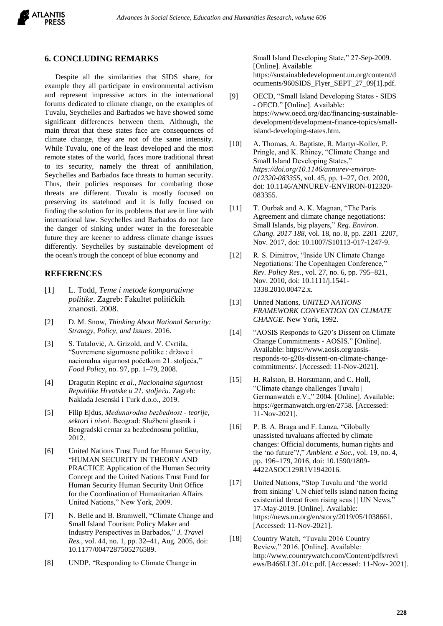

#### **6. CONCLUDING REMARKS**

Despite all the similarities that SIDS share, for example they all participate in environmental activism and represent impressive actors in the international forums dedicated to climate change, on the examples of Tuvalu, Seychelles and Barbados we have showed some significant differences between them. Although, the main threat that these states face are consequences of climate change, they are not of the same intensity. While Tuvalu, one of the least developed and the most remote states of the world, faces more traditional threat to its security, namely the threat of annihilation, Seychelles and Barbados face threats to human security. Thus, their policies responses for combating those threats are different. Tuvalu is mostly focused on preserving its statehood and it is fully focused on finding the solution for its problems that are in line with international law. Seychelles and Barbados do not face the danger of sinking under water in the foreseeable future they are keener to address climate change issues differently. Seychelles by sustainable development of the ocean's trough the concept of blue economy and

#### **REFERENCES**

- [1] L. Todd, *Teme i metode komparativne politike*. Zagreb: Fakultet političkih znanosti. 2008.
- [2] D. M. Snow, *Thinking About National Security: Strategy, Policy, and Issues*. 2016.
- [3] S. Tatalović, A. Grizold, and V. Cvrtila, "Suvremene sigurnosne politike : države i nacionalna sigurnost početkom 21. stoljeća," *Food Policy*, no. 97, pp. 1–79, 2008.
- [4] Dragutin Repinc *et al.*, *Nacionalna sigurnost Republike Hrvatske u 21. stoljeću*. Zagreb: Naklada Jesenski i Turk d.o.o., 2019.
- [5] Filip Ejdus, *Međunarodna bezbednost - teorije, sektori i nivoi*. Beograd: Službeni glasnik i Beogradski centar za bezbednosnu politiku, 2012.
- [6] United Nations Trust Fund for Human Security, "HUMAN SECURITY IN THEORY AND PRACTICE Application of the Human Security Concept and the United Nations Trust Fund for Human Security Human Security Unit Office for the Coordination of Humanitarian Affairs United Nations," New York, 2009.
- [7] N. Belle and B. Bramwell, "Climate Change and Small Island Tourism: Policy Maker and Industry Perspectives in Barbados," *J. Travel Res.*, vol. 44, no. 1, pp. 32–41, Aug. 2005, doi: 10.1177/0047287505276589.
- [8] UNDP, "Responding to Climate Change in

Small Island Developing State," 27-Sep-2009. [Online]. Available: https://sustainabledevelopment.un.org/content/d ocuments/960SIDS\_Flyer\_SEPT\_27\_09[1].pdf.

- [9] OECD, "Small Island Developing States SIDS - OECD." [Online]. Available: https://www.oecd.org/dac/financing-sustainabledevelopment/development-finance-topics/smallisland-developing-states.htm.
- [10] A. Thomas, A. Baptiste, R. Martyr-Koller, P. Pringle, and K. Rhiney, "Climate Change and Small Island Developing States," *https://doi.org/10.1146/annurev-environ-012320-083355*, vol. 45, pp. 1–27, Oct. 2020, doi: 10.1146/ANNUREV-ENVIRON-012320- 083355.
- [11] T. Ourbak and A. K. Magnan, "The Paris" Agreement and climate change negotiations: Small Islands, big players," *Reg. Environ. Chang. 2017 188*, vol. 18, no. 8, pp. 2201–2207, Nov. 2017, doi: 10.1007/S10113-017-1247-9.
- [12] R. S. Dimitrov, "Inside UN Climate Change Negotiations: The Copenhagen Conference," *Rev. Policy Res.*, vol. 27, no. 6, pp. 795–821, Nov. 2010, doi: 10.1111/j.1541- 1338.2010.00472.x.
- [13] United Nations, *UNITED NATIONS FRAMEWORK CONVENTION ON CLIMATE CHANGE*. New York, 1992.
- [14] "AOSIS Responds to G20's Dissent on Climate Change Commitments - AOSIS." [Online]. Available: https://www.aosis.org/aosisresponds-to-g20s-dissent-on-climate-changecommitments/. [Accessed: 11-Nov-2021].
- [15] H. Ralston, B. Horstmann, and C. Holl, "Climate change challenges Tuvalu | Germanwatch e.V.," 2004. [Online]. Available: https://germanwatch.org/en/2758. [Accessed: 11-Nov-2021].
- [16] P. B. A. Braga and F. Lanza, "Globally unassisted tuvaluans affected by climate changes: Official documents, human rights and the 'no future'?," *Ambient. e Soc.*, vol. 19, no. 4, pp. 196–179, 2016, doi: 10.1590/1809- 4422ASOC129R1V1942016.
- [17] United Nations, "Stop Tuvalu and 'the world from sinking' UN chief tells island nation facing existential threat from rising seas || UN News," 17-May-2019. [Online]. Available: https://news.un.org/en/story/2019/05/1038661. [Accessed: 11-Nov-2021].
- [18] Country Watch, "Tuvalu 2016 Country Review," 2016. [Online]. Available: http://www.countrywatch.com/Content/pdfs/revi ews/B466LL3L.01c.pdf. [Accessed: 11-Nov-2021].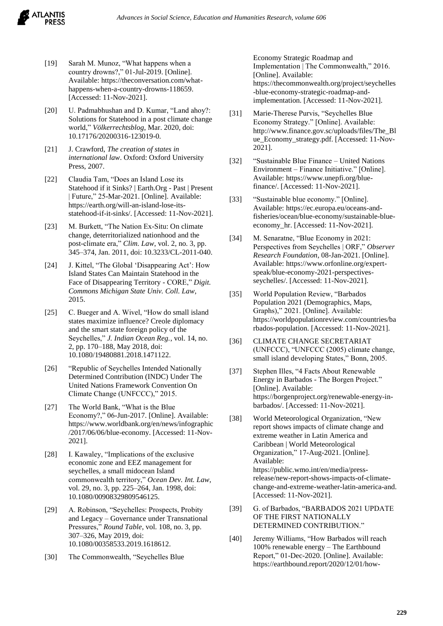

- [19] Sarah M. Munoz, "What happens when a country drowns?," 01-Jul-2019. [Online]. Available: https://theconversation.com/whathappens-when-a-country-drowns-118659. [Accessed: 11-Nov-2021].
- [20] U. Padmabhushan and D. Kumar, "Land ahoy?: Solutions for Statehood in a post climate change world," *Völkerrechtsblog*, Mar. 2020, doi: 10.17176/20200316-123019-0.
- [21] J. Crawford, *The creation of states in international law*. Oxford: Oxford University Press, 2007.
- [22] Claudia Tam, "Does an Island Lose its Statehood if it Sinks? | Earth.Org - Past | Present | Future," 25-Mar-2021. [Online]. Available: https://earth.org/will-an-island-lose-itsstatehood-if-it-sinks/. [Accessed: 11-Nov-2021].
- [23] M. Burkett, "The Nation Ex-Situ: On climate change, deterritorialized nationhood and the post-climate era," *Clim. Law*, vol. 2, no. 3, pp. 345–374, Jan. 2011, doi: 10.3233/CL-2011-040.
- [24] J. Kittel, "The Global 'Disappearing Act': How Island States Can Maintain Statehood in the Face of Disappearing Territory - CORE," *Digit. Commons Michigan State Univ. Coll. Law*, 2015.
- [25] C. Bueger and A. Wivel, "How do small island states maximize influence? Creole diplomacy and the smart state foreign policy of the Seychelles," *J. Indian Ocean Reg.*, vol. 14, no. 2, pp. 170–188, May 2018, doi: 10.1080/19480881.2018.1471122.
- [26] "Republic of Seychelles Intended Nationally Determined Contribution (INDC) Under The United Nations Framework Convention On Climate Change (UNFCCC)," 2015.
- [27] The World Bank, "What is the Blue" Economy?," 06-Jun-2017. [Online]. Available: https://www.worldbank.org/en/news/infographic /2017/06/06/blue-economy. [Accessed: 11-Nov-2021].
- [28] I. Kawaley, "Implications of the exclusive economic zone and EEZ management for seychelles, a small midocean Island commonwealth territory," *Ocean Dev. Int. Law*, vol. 29, no. 3, pp. 225–264, Jan. 1998, doi: 10.1080/00908329809546125.
- [29] A. Robinson, "Seychelles: Prospects, Probity and Legacy – Governance under Transnational Pressures," *Round Table*, vol. 108, no. 3, pp. 307–326, May 2019, doi: 10.1080/00358533.2019.1618612.
- [30] The Commonwealth, "Seychelles Blue

Economy Strategic Roadmap and Implementation | The Commonwealth," 2016. [Online]. Available: https://thecommonwealth.org/project/seychelles -blue-economy-strategic-roadmap-andimplementation. [Accessed: 11-Nov-2021].

- [31] Marie-Therese Purvis, "Seychelles Blue Economy Strategy." [Online]. Available: http://www.finance.gov.sc/uploads/files/The\_Bl ue\_Economy\_strategy.pdf. [Accessed: 11-Nov-2021].
- [32] "Sustainable Blue Finance United Nations Environment – Finance Initiative." [Online]. Available: https://www.unepfi.org/bluefinance/. [Accessed: 11-Nov-2021].
- [33] "Sustainable blue economy." [Online]. Available: https://ec.europa.eu/oceans-andfisheries/ocean/blue-economy/sustainable-blueeconomy\_hr. [Accessed: 11-Nov-2021].
- [34] M. Senaratne, "Blue Economy in 2021: Perspectives from Seychelles | ORF," *Observer Research Foundation*, 08-Jan-2021. [Online]. Available: https://www.orfonline.org/expertspeak/blue-economy-2021-perspectivesseychelles/. [Accessed: 11-Nov-2021].
- [35] World Population Review, "Barbados Population 2021 (Demographics, Maps, Graphs)," 2021. [Online]. Available: https://worldpopulationreview.com/countries/ba rbados-population. [Accessed: 11-Nov-2021].
- [36] CLIMATE CHANGE SECRETARIAT (UNFCCC), "UNFCCC (2005) climate change, small island developing States," Bonn, 2005.
- [37] Stephen Illes, "4 Facts About Renewable Energy in Barbados - The Borgen Project." [Online]. Available: https://borgenproject.org/renewable-energy-inbarbados/. [Accessed: 11-Nov-2021].
- [38] World Meteorological Organization, "New report shows impacts of climate change and extreme weather in Latin America and Caribbean | World Meteorological Organization," 17-Aug-2021. [Online]. Available: https://public.wmo.int/en/media/pressrelease/new-report-shows-impacts-of-climatechange-and-extreme-weather-latin-america-and. [Accessed: 11-Nov-2021].
- [39] G. of Barbados, "BARBADOS 2021 UPDATE OF THE FIRST NATIONALLY DETERMINED CONTRIBUTION."
- [40] Jeremy Williams, "How Barbados will reach 100% renewable energy – The Earthbound Report," 01-Dec-2020. [Online]. Available: https://earthbound.report/2020/12/01/how-